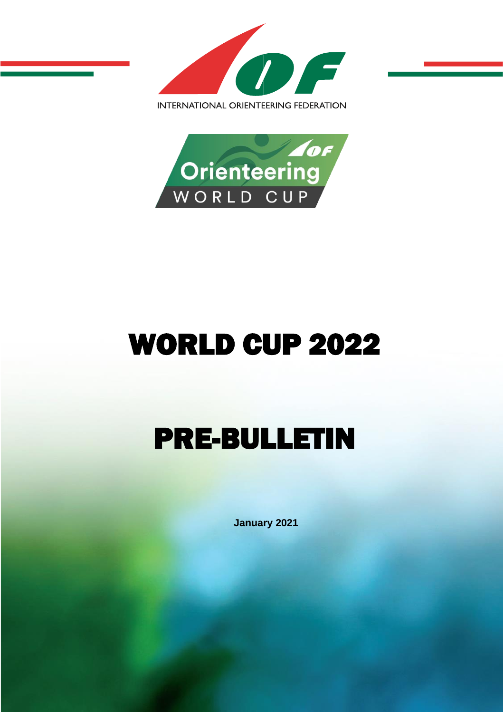



# WORLD CUP 2022

# PRE-BULLETIN

**January 2021**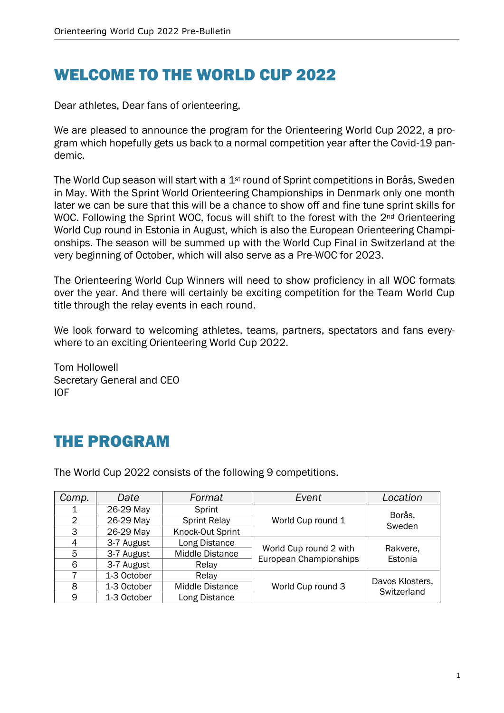## WELCOME TO THE WORLD CUP 2022

Dear athletes, Dear fans of orienteering,

We are pleased to announce the program for the Orienteering World Cup 2022, a program which hopefully gets us back to a normal competition year after the Covid-19 pandemic.

The World Cup season will start with a 1<sup>st</sup> round of Sprint competitions in Borås, Sweden in May. With the Sprint World Orienteering Championships in Denmark only one month later we can be sure that this will be a chance to show off and fine tune sprint skills for WOC. Following the Sprint WOC, focus will shift to the forest with the 2<sup>nd</sup> Orienteering World Cup round in Estonia in August, which is also the European Orienteering Championships. The season will be summed up with the World Cup Final in Switzerland at the very beginning of October, which will also serve as a Pre-WOC for 2023.

The Orienteering World Cup Winners will need to show proficiency in all WOC formats over the year. And there will certainly be exciting competition for the Team World Cup title through the relay events in each round.

We look forward to welcoming athletes, teams, partners, spectators and fans everywhere to an exciting Orienteering World Cup 2022.

Tom Hollowell Secretary General and CEO IOF

# THE PROGRAM

The World Cup 2022 consists of the following 9 competitions.

| Comp.          | Date        | Format                 | Event                                            | Location                       |
|----------------|-------------|------------------------|--------------------------------------------------|--------------------------------|
|                | 26-29 May   | Sprint                 | World Cup round 1                                | Borås,<br>Sweden               |
| $\overline{2}$ | 26-29 May   | <b>Sprint Relay</b>    |                                                  |                                |
| 3              | 26-29 May   | Knock-Out Sprint       |                                                  |                                |
| 4              | 3-7 August  | Long Distance          | World Cup round 2 with<br>European Championships | Rakvere,<br>Estonia            |
| 5              | 3-7 August  | <b>Middle Distance</b> |                                                  |                                |
| 6              | 3-7 August  | Relay                  |                                                  |                                |
|                | 1-3 October | Relay                  | World Cup round 3                                | Davos Klosters,<br>Switzerland |
| 8              | 1-3 October | Middle Distance        |                                                  |                                |
| 9              | 1-3 October | Long Distance          |                                                  |                                |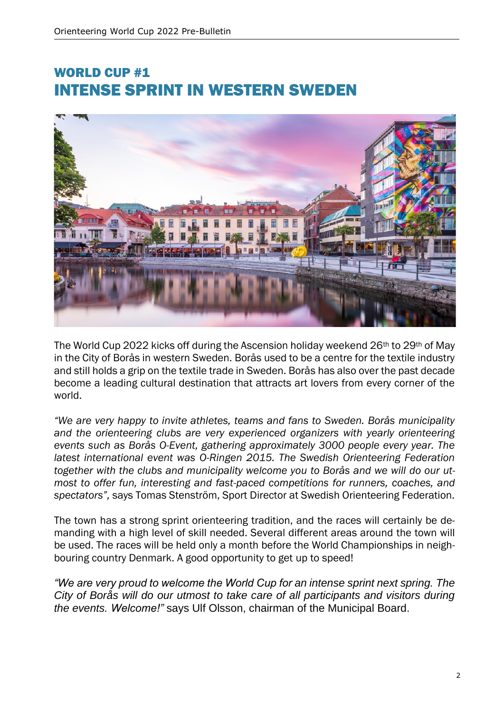#### WORLD CUP #1 INTENSE SPRINT IN WESTERN SWEDEN



The World Cup 2022 kicks off during the Ascension holiday weekend 26<sup>th</sup> to 29<sup>th</sup> of May in the City of Borås in western Sweden. Borås used to be a centre for the textile industry and still holds a grip on the textile trade in Sweden. Borås has also over the past decade become a leading cultural destination that attracts art lovers from every corner of the world.

*"We are very happy to invite athletes, teams and fans to Sweden. Borås municipality*  and the orienteering clubs are very experienced organizers with yearly orienteering *events such as Borås O-Event, gathering approximately 3000 people every year. The latest international event was O-Ringen 2015. The Swedish Orienteering Federation together with the clubs and municipality welcome you to Borås and we will do our utmost to offer fun, interesting and fast-paced competitions for runners, coaches, and spectators",* says Tomas Stenström, Sport Director at Swedish Orienteering Federation.

The town has a strong sprint orienteering tradition, and the races will certainly be demanding with a high level of skill needed. Several different areas around the town will be used. The races will be held only a month before the World Championships in neighbouring country Denmark. A good opportunity to get up to speed!

*"We are very proud to welcome the World Cup for an intense sprint next spring. The City of Borås will do our utmost to take care of all participants and visitors during the events. Welcome!"* says Ulf Olsson, chairman of the Municipal Board.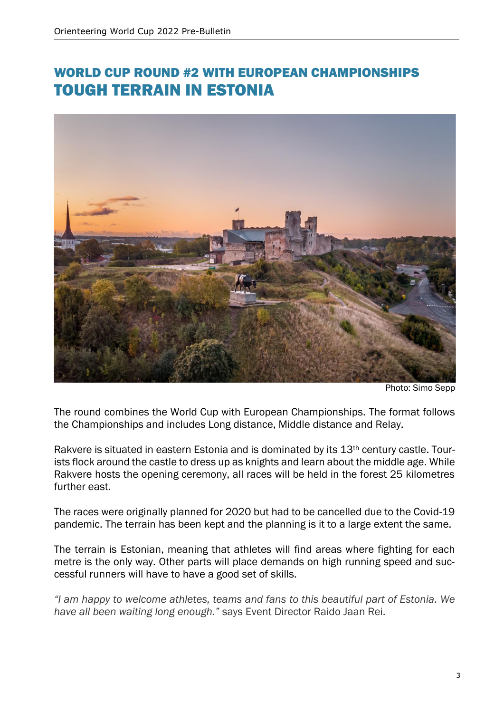#### WORLD CUP ROUND #2 WITH EUROPEAN CHAMPIONSHIPS TOUGH TERRAIN IN ESTONIA



Photo: Simo Sepp

The round combines the World Cup with European Championships. The format follows the Championships and includes Long distance, Middle distance and Relay.

Rakvere is situated in eastern Estonia and is dominated by its 13<sup>th</sup> century castle. Tourists flock around the castle to dress up as knights and learn about the middle age. While Rakvere hosts the opening ceremony, all races will be held in the forest 25 kilometres further east.

The races were originally planned for 2020 but had to be cancelled due to the Covid-19 pandemic. The terrain has been kept and the planning is it to a large extent the same.

The terrain is Estonian, meaning that athletes will find areas where fighting for each metre is the only way. Other parts will place demands on high running speed and successful runners will have to have a good set of skills.

*"I am happy to welcome athletes, teams and fans to this beautiful part of Estonia. We have all been waiting long enough."* says Event Director Raido Jaan Rei.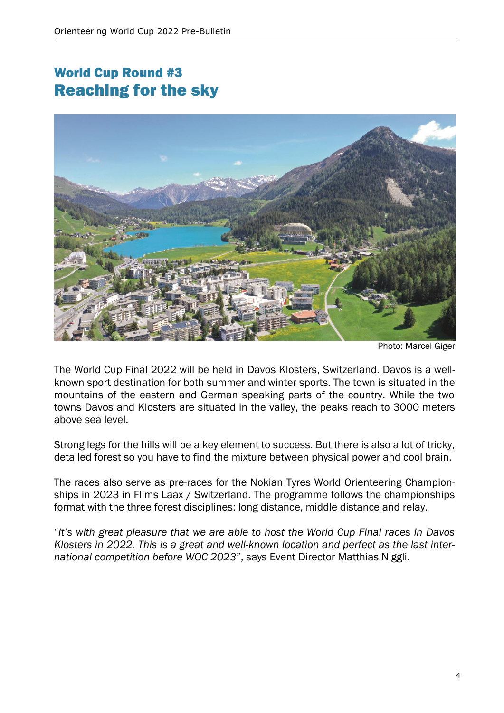### World Cup Round #3 Reaching for the sky



Photo: Marcel Giger

The World Cup Final 2022 will be held in Davos Klosters, Switzerland. Davos is a wellknown sport destination for both summer and winter sports. The town is situated in the mountains of the eastern and German speaking parts of the country. While the two towns Davos and Klosters are situated in the valley, the peaks reach to 3000 meters above sea level.

Strong legs for the hills will be a key element to success. But there is also a lot of tricky, detailed forest so you have to find the mixture between physical power and cool brain.

The races also serve as pre-races for the Nokian Tyres World Orienteering Championships in 2023 in Flims Laax / Switzerland. The programme follows the championships format with the three forest disciplines: long distance, middle distance and relay.

"*It's with great pleasure that we are able to host the World Cup Final races in Davos Klosters in 2022. This is a great and well-known location and perfect as the last international competition before WOC 2023*", says Event Director Matthias Niggli.